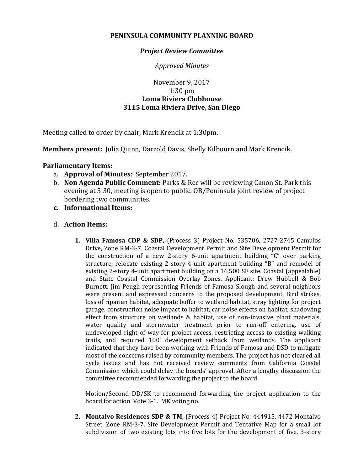## **PENINSULA COMMUNITY PLANNING BOARD**

## *Project Review Committee*

*Approved Minutes*

## November 9, 2017 1:30 pm **Loma Riviera Clubhouse 3115 Loma Riviera Drive, San Diego**

Meeting called to order by chair, Mark Krencik at 1:30pm.

**Members present:** Julia Quinn, Darrold Davis, Shelly Kilbourn and Mark Krencik.

## **Parliamentary Items:**

- a. **Approval of Minutes**: September 2017.
- b. **Non Agenda Public Comment:** Parks & Rec will be reviewing Canon St. Park this evening at 5:30, meeting is open to public. OB/Peninsula joint review of project bordering two communities.
- **c. Informational Items:**
- d. **Action Items:**
	- **1. Villa Famosa CDP & SDP,** (Process 3) Project No. 535706, 2727-2745 Camulos Drive, Zone RM-3-7. Coastal Development Permit and Site Development Permit for the construction of a new 2-story 6-unit apartment building "C" over parking structure, relocate existing 2-story 4-unit apartment building "B" and remodel of existing 2-story 4-unit apartment building on a 16,500 SF site. Coastal (appealable) and State Coastal Commission Overlay Zones. Applicant: Drew Hubbell & Bob Burnett. Jim Peugh representing Friends of Famosa Slough and several neighbors were present and expressed concerns to the proposed development. Bird strikes, loss of riparian habitat, adequate buffer to wetland habitat, stray lighting for project garage, construction noise impact to habitat, car noise effects on habitat, shadowing effect from structure on wetlands & habitat, use of non-invasive plant materials, water quality and stormwater treatment prior to run-off entering, use of undeveloped right-of-way for project access, restricting access to existing walking trails, and required 100' development setback from wetlands. The applicant indicated that they have been working with Friends of Famosa and DSD to mitigate most of the concerns raised by community members. The project has not cleared all cycle issues and has not received review comments from California Coastal Commission which could delay the boards' approval. After a lengthy discussion the committee recommended forwarding the project to the board.

Motion/Second DD/SK to recommend forwarding the project application to the board for action. Vote 3-1. MK voting no.

**2. Montalvo Residences SDP & TM,** (Process 4) Project No. 444915, 4472 Montalvo Street, Zone RM-3-7. Site Development Permit and Tentative Map for a small lot subdivision of two existing lots into five lots for the development of five, 3-story